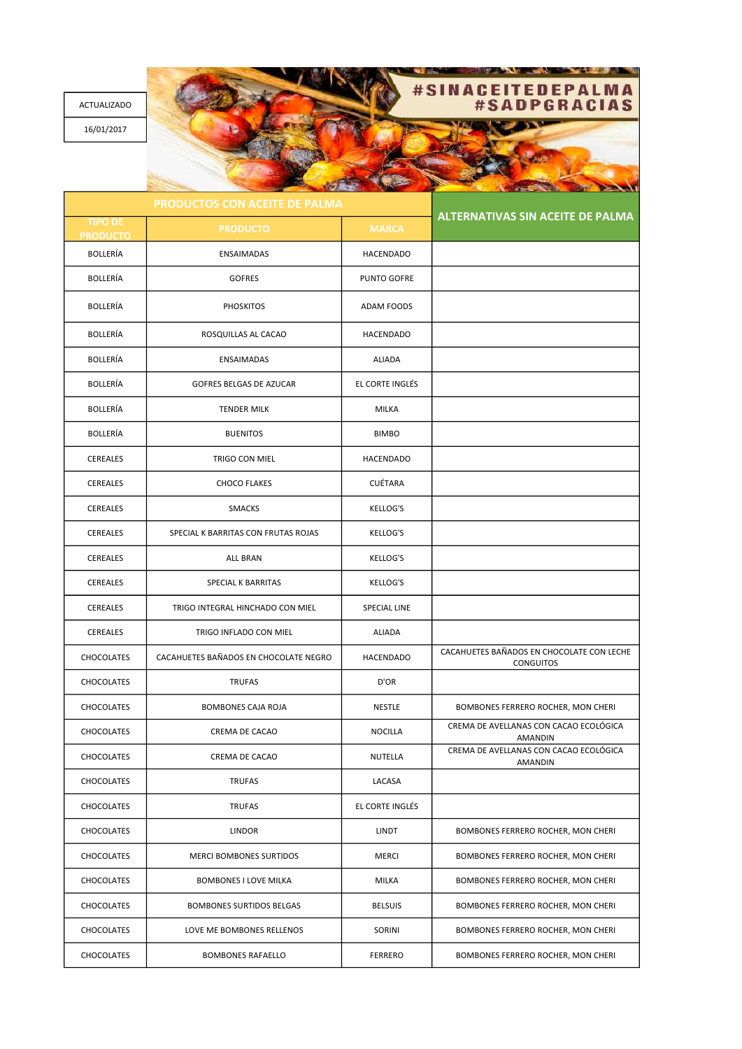ACTUALIZADO 16/01/2017

## **TEDEPALMA NA** GRACIAS

<u> TAN SERIA NG PINASAN</u>

TIPO DI PRODUCTO PRODUCTO MARCA BOLLERÍA ENSAIMADAS HACENDADO BOLLERÍA | GOFRES | PUNTO GOFRE BOLLERÍA  $\vert$  PHOSKITOS  $\vert$  ADAM FOODS BOLLERÍA | ROSQUILLAS AL CACAO | HACENDADO BOLLERÍA **ENSAIMADAS** ENSAIMADAS ALIADA BOLLERÍA | GOFRES BELGAS DE AZUCAR | EL CORTE INGLÉS BOLLERÍA **NA HALLERÍA EN TENDER MILK** MILKA BOLLERÍA **BUENITOS** BUENITOS **BUENITOS** CEREALES **TRIGO CON MIEL CEREALES HACENDADO** CEREALES CHOCO FLAKES CUÉTARA CEREALES | SMACKS SMACKS | KELLOG'S CEREALES **SPECIAL K BARRITAS CON FRUTAS ROJAS** KELLOG'S CEREALES | ALL BRAN | KELLOG'S CEREALES SPECIAL K BARRITAS KELLOG'S CEREALES | TRIGO INTEGRAL HINCHADO CON MIEL | SPECIAL LINE CEREALES TRIGO INFLADO CON MIEL ALIADA CHOCOLATES CACAHUETES BAÑADOS EN CHOCOLATE NEGRO HACENDADO CACAHUETES BAÑADOS EN CHOCOLATE CON LECHE **CONGUITOS** CHOCOLATES (CHOCOLATES CHOCOLATES CHOCOLATES CHOCOLATES TRUFAS CHOCOLATES BOMBONES CAJA ROJA NESTLE BOMBONES FERRERO ROCHER, MON CHERI CHOCOLATES CREMA DE CACAO CREMA DE CACAO NOCILLA CREMA DE AVELLANAS CON CACAO ECOLÓGICA AMANDIN CHOCOLATES CREMA DE CACAO NUTELLA CREMA DE AVELLANAS CON CACAO ECOLÓGICA AMANDIN CHOCOLATES **CHOCOLATES CHOCOLATES LACASA** CHOCOLATES TRUFAS EL CORTE INGLÉS CHOCOLATES | LINDOR LINDOR LINDOR LINDT | BOMBONES FERRERO ROCHER, MON CHERI CHOCOLATES WERCI BOMBONES SURTIDOS MERCI MERCI BOMBONES FERRERO ROCHER, MON CHERI CHOCOLATES | BOMBONES I LOVE MILKA | MILKA | BOMBONES FERRERO ROCHER, MON CHERI CHOCOLATES | BOMBONES SURTIDOS BELGAS | BELSUIS | BOMBONES FERRERO ROCHER, MON CHERI CHOCOLATES LOVE ME BOMBONES RELLENOS SORINI BOMBONES FERRERO ROCHER, MON CHERI CHOCOLATES BOMBONES RAFAELLO FERRERO BOMBONES FERRERO ROCHER, MON CHERI ALTERNATIVAS SIN ACEITE DE PALMA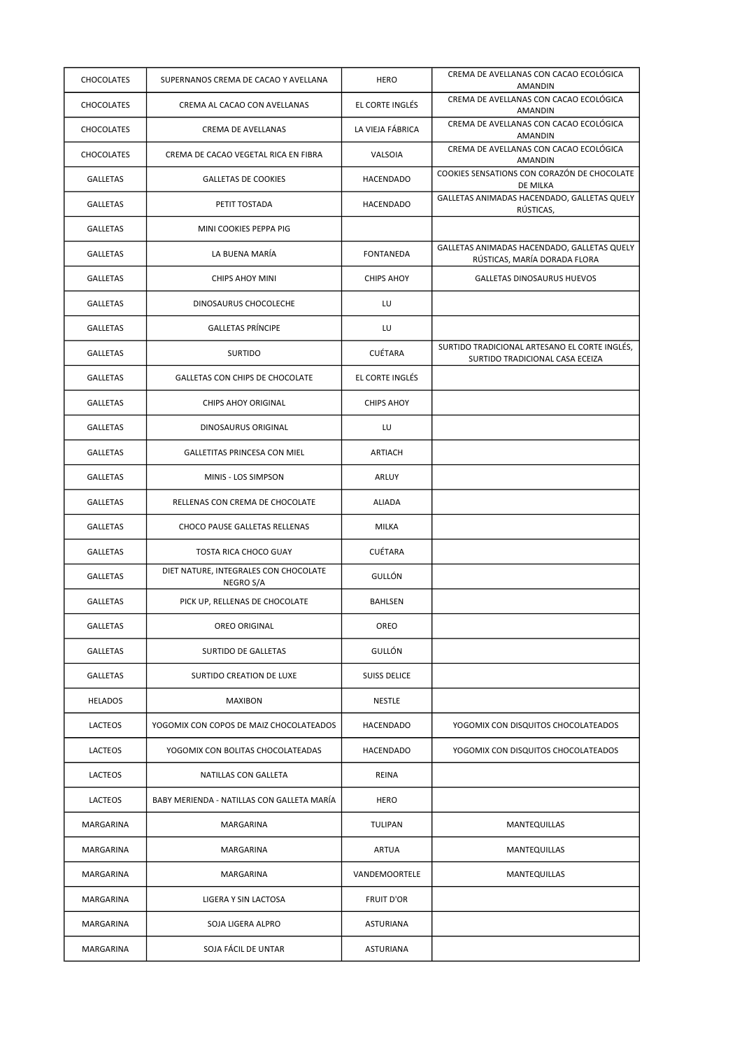| <b>CHOCOLATES</b> | SUPERNANOS CREMA DE CACAO Y AVELLANA               | <b>HERO</b>         | CREMA DE AVELLANAS CON CACAO ECOLÓGICA<br>AMANDIN                                |
|-------------------|----------------------------------------------------|---------------------|----------------------------------------------------------------------------------|
| CHOCOLATES        | CREMA AL CACAO CON AVELLANAS                       | EL CORTE INGLÉS     | CREMA DE AVELLANAS CON CACAO ECOLÓGICA<br><b>AMANDIN</b>                         |
| <b>CHOCOLATES</b> | CREMA DE AVELLANAS                                 | LA VIEJA FÁBRICA    | CREMA DE AVELLANAS CON CACAO ECOLÓGICA<br>AMANDIN                                |
| <b>CHOCOLATES</b> | CREMA DE CACAO VEGETAL RICA EN FIBRA               | VALSOIA             | CREMA DE AVELLANAS CON CACAO ECOLÓGICA<br>AMANDIN                                |
| <b>GALLETAS</b>   | <b>GALLETAS DE COOKIES</b>                         | HACENDADO           | COOKIES SENSATIONS CON CORAZÓN DE CHOCOLATE<br>DE MILKA                          |
| <b>GALLETAS</b>   | PETIT TOSTADA                                      | HACENDADO           | GALLETAS ANIMADAS HACENDADO, GALLETAS QUELY<br>RÚSTICAS,                         |
| <b>GALLETAS</b>   | MINI COOKIES PEPPA PIG                             |                     |                                                                                  |
| <b>GALLETAS</b>   | LA BUENA MARÍA                                     | <b>FONTANEDA</b>    | GALLETAS ANIMADAS HACENDADO, GALLETAS QUELY<br>RÚSTICAS, MARÍA DORADA FLORA      |
| <b>GALLETAS</b>   | <b>CHIPS AHOY MINI</b>                             | <b>CHIPS AHOY</b>   | GALLETAS DINOSAURUS HUEVOS                                                       |
| <b>GALLETAS</b>   | DINOSAURUS CHOCOLECHE                              | LU                  |                                                                                  |
| <b>GALLETAS</b>   | <b>GALLETAS PRÍNCIPE</b>                           | LU                  |                                                                                  |
| <b>GALLETAS</b>   | <b>SURTIDO</b>                                     | <b>CUÉTARA</b>      | SURTIDO TRADICIONAL ARTESANO EL CORTE INGLÉS,<br>SURTIDO TRADICIONAL CASA ECEIZA |
| <b>GALLETAS</b>   | GALLETAS CON CHIPS DE CHOCOLATE                    | EL CORTE INGLÉS     |                                                                                  |
| <b>GALLETAS</b>   | <b>CHIPS AHOY ORIGINAL</b>                         | <b>CHIPS AHOY</b>   |                                                                                  |
| <b>GALLETAS</b>   | DINOSAURUS ORIGINAL                                | LU                  |                                                                                  |
| GALLETAS          | GALLETITAS PRINCESA CON MIEL                       | ARTIACH             |                                                                                  |
| <b>GALLETAS</b>   | MINIS - LOS SIMPSON                                | ARLUY               |                                                                                  |
| <b>GALLETAS</b>   | RELLENAS CON CREMA DE CHOCOLATE                    | <b>ALIADA</b>       |                                                                                  |
| GALLETAS          | CHOCO PAUSE GALLETAS RELLENAS                      | MILKA               |                                                                                  |
| <b>GALLETAS</b>   | TOSTA RICA CHOCO GUAY                              | <b>CUÉTARA</b>      |                                                                                  |
| <b>GALLETAS</b>   | DIET NATURE, INTEGRALES CON CHOCOLATE<br>NEGRO S/A | GULLÓN              |                                                                                  |
| <b>GALLETAS</b>   | PICK UP, RELLENAS DE CHOCOLATE                     | <b>BAHLSEN</b>      |                                                                                  |
| <b>GALLETAS</b>   | OREO ORIGINAL                                      | OREO                |                                                                                  |
| <b>GALLETAS</b>   | SURTIDO DE GALLETAS                                | GULLÓN              |                                                                                  |
| GALLETAS          | SURTIDO CREATION DE LUXE                           | <b>SUISS DELICE</b> |                                                                                  |
| <b>HELADOS</b>    | <b>MAXIBON</b>                                     | NESTLE              |                                                                                  |
| LACTEOS           | YOGOMIX CON COPOS DE MAIZ CHOCOLATEADOS            | HACENDADO           | YOGOMIX CON DISQUITOS CHOCOLATEADOS                                              |
| LACTEOS           | YOGOMIX CON BOLITAS CHOCOLATEADAS                  | HACENDADO           | YOGOMIX CON DISQUITOS CHOCOLATEADOS                                              |
| LACTEOS           | <b>NATILLAS CON GALLETA</b>                        | REINA               |                                                                                  |
| LACTEOS           | BABY MERIENDA - NATILLAS CON GALLETA MARÍA         | <b>HERO</b>         |                                                                                  |
| MARGARINA         | MARGARINA                                          | TULIPAN             | <b>MANTEQUILLAS</b>                                                              |
| MARGARINA         | MARGARINA                                          | <b>ARTUA</b>        | MANTEQUILLAS                                                                     |
| MARGARINA         | MARGARINA                                          | VANDEMOORTELE       | MANTEQUILLAS                                                                     |
| MARGARINA         | LIGERA Y SIN LACTOSA                               | <b>FRUIT D'OR</b>   |                                                                                  |
| MARGARINA         | SOJA LIGERA ALPRO                                  | <b>ASTURIANA</b>    |                                                                                  |
| MARGARINA         | SOJA FÁCIL DE UNTAR                                | ASTURIANA           |                                                                                  |